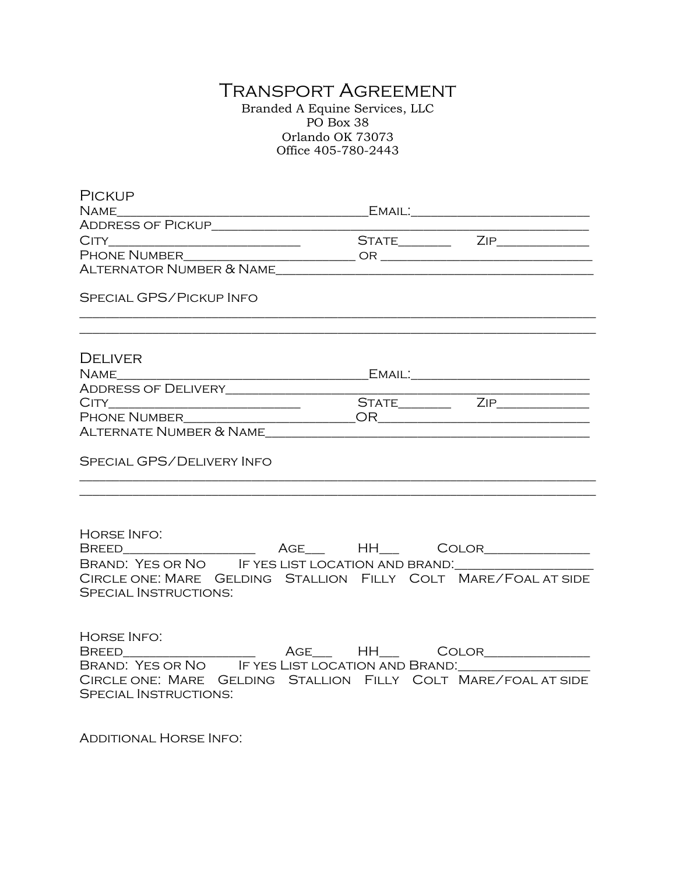# Transport Agreement

Branded A Equine Services, LLC PO Box 38 Orlando OK 73073 Office 405-780-2443

| <b>PICKUP</b>                                                                                                                                                                      |                                                                                   |  |
|------------------------------------------------------------------------------------------------------------------------------------------------------------------------------------|-----------------------------------------------------------------------------------|--|
|                                                                                                                                                                                    |                                                                                   |  |
|                                                                                                                                                                                    |                                                                                   |  |
|                                                                                                                                                                                    |                                                                                   |  |
|                                                                                                                                                                                    |                                                                                   |  |
|                                                                                                                                                                                    |                                                                                   |  |
| <b>SPECIAL GPS/PICKUP INFO</b>                                                                                                                                                     |                                                                                   |  |
| <b>DELIVER</b>                                                                                                                                                                     |                                                                                   |  |
|                                                                                                                                                                                    |                                                                                   |  |
|                                                                                                                                                                                    |                                                                                   |  |
|                                                                                                                                                                                    |                                                                                   |  |
|                                                                                                                                                                                    |                                                                                   |  |
|                                                                                                                                                                                    |                                                                                   |  |
| SPECIAL GPS/DELIVERY INFO                                                                                                                                                          | ,我们也不能在这里的时候,我们也不能在这里的时候,我们也不能会在这里的时候,我们也不能会在这里的时候,我们也不能会在这里的时候,我们也不能会在这里的时候,我们也不 |  |
| <b>HORSE INFO:</b>                                                                                                                                                                 |                                                                                   |  |
| BRAND: YES OR NO IF YES LIST LOCATION AND BRAND: _______________________________<br>CIRCLE ONE: MARE GELDING STALLION FILLY COLT MARE/FOAL AT SIDE<br><b>SPECIAL INSTRUCTIONS:</b> |                                                                                   |  |
| <b>HORSE INFO:</b><br>CIRCLE ONE: MARE GELDING STALLION FILLY COLT MARE/FOAL AT SIDE<br><b>SPECIAL INSTRUCTIONS:</b>                                                               |                                                                                   |  |

Additional Horse Info: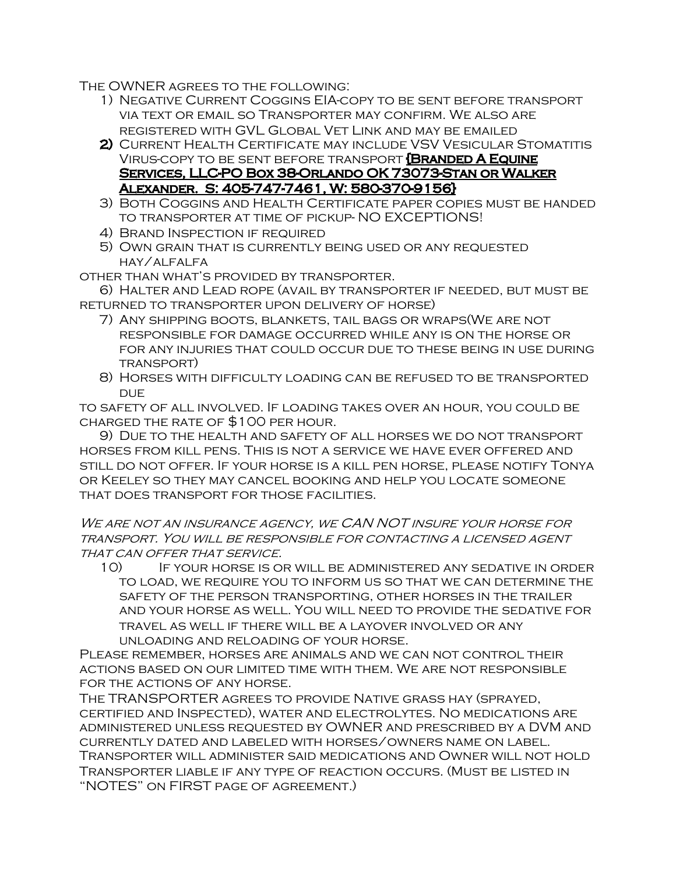The OWNER agrees to the following:

- 1) Negative Current Coggins EIA-copy to be sent before transport via text or email so Transporter may confirm. We also are registered with GVL Global Vet Link and may be emailed
- 2) CURRENT HEALTH CERTIFICATE MAY INCLUDE VSV VESICULAR STOMATITIS Virus-copy to be sent before transport {Branded A Equine Services, LLC-PO Box 38-Orlando OK 73073-Stan or Walker Alexander. S: 405-747-7461, W: 580-370-9156}
- 3) Both Coggins and Health Certificate paper copies must be handed to transporter at time of pickup- NO EXCEPTIONS!
- 4) Brand Inspection if required
- 5) Own grain that is currently being used or any requested hay/alfalfa

other than what's provided by transporter.

6) Halter and Lead rope (avail by transporter if needed, but must be returned to transporter upon delivery of horse)

- 7) Any shipping boots, blankets, tail bags or wraps(We are not responsible for damage occurred while any is on the horse or for any injuries that could occur due to these being in use during transport)
- 8) Horses with difficulty loading can be refused to be transported DUE.

to safety of all involved. If loading takes over an hour, you could be charged the rate of \$100 per hour.

9) Due to the health and safety of all horses we do not transport horses from kill pens. This is not a service we have ever offered and still do not offer. If your horse is a kill pen horse, please notify Tonya or Keeley so they may cancel booking and help you locate someone that does transport for those facilities.

We are not an insurance agency, we CAN NOT insure your horse for transport. You will be responsible for contacting a licensed agent THAT CAN OFFER THAT SERVICE.

10) If your horse is or will be administered any sedative in order to load, we require you to inform us so that we can determine the safety of the person transporting, other horses in the trailer and your horse as well. You will need to provide the sedative for travel as well if there will be a layover involved or any unloading and reloading of your horse.

Please remember, horses are animals and we can not control their actions based on our limited time with them. We are not responsible for the actions of any horse.

The TRANSPORTER agrees to provide Native grass hay (sprayed, certified and Inspected), water and electrolytes. No medications are administered unless requested by OWNER and prescribed by a DVM and currently dated and labeled with horses/owners name on label. Transporter will administer said medications and Owner will not hold Transporter liable if any type of reaction occurs. (Must be listed in "NOTES" on FIRST page of agreement.)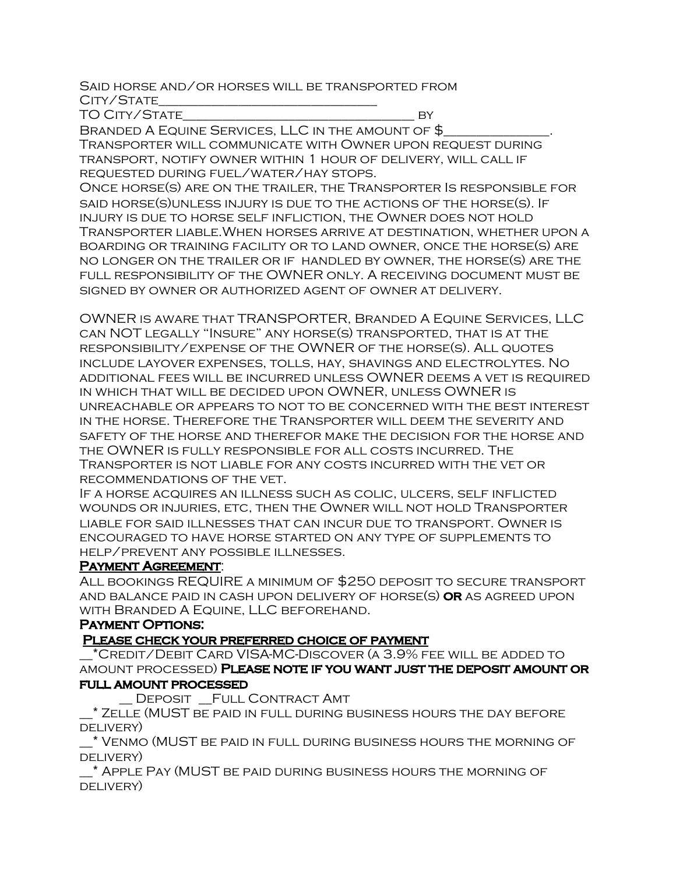#### Said horse and/or horses will be transported from City/State\_\_\_\_\_\_\_\_\_\_\_\_\_\_\_\_\_\_\_\_\_\_\_\_\_\_\_\_\_\_\_\_\_

TO CITY/STATE BY

BRANDED A EQUINE SERVICES, LLC IN THE AMOUNT OF \$

Transporter will communicate with Owner upon request during transport, notify owner within 1 hour of delivery, will call if requested during fuel/water/hay stops.

Once horse(s) are on the trailer, the Transporter Is responsible for said horse(s)unless injury is due to the actions of the horse(s). If injury is due to horse self infliction, the Owner does not hold Transporter liable.When horses arrive at destination, whether upon a boarding or training facility or to land owner, once the horse(s) are no longer on the trailer or if handled by owner, the horse(s) are the full responsibility of the OWNER only. A receiving document must be signed by owner or authorized agent of owner at delivery.

OWNER is aware that TRANSPORTER, Branded A Equine Services, LLC can NOT legally "Insure" any horse(s) transported, that is at the responsibility/expense of the OWNER of the horse(s). All quotes include layover expenses, tolls, hay, shavings and electrolytes. No additional fees will be incurred unless OWNER deems a vet is required in which that will be decided upon OWNER, unless OWNER is unreachable or appears to not to be concerned with the best interest in the horse. Therefore the Transporter will deem the severity and safety of the horse and therefor make the decision for the horse and the OWNER is fully responsible for all costs incurred. The Transporter is not liable for any costs incurred with the vet or recommendations of the vet.

If a horse acquires an illness such as colic, ulcers, self inflicted wounds or injuries, etc, then the Owner will not hold Transporter liable for said illnesses that can incur due to transport. Owner is encouraged to have horse started on any type of supplements to help/prevent any possible illnesses.

### PAYMENT AGREEMENT:

All bookings REQUIRE a minimum of \$250 deposit to secure transport and balance paid in cash upon delivery of horse(s) or as agreed upon with Branded A Equine, LLC beforehand.

# Payment Options:

# Please check your preferred choice of payment

\_\_\*Credit/Debit Card VISA-MC-Discover (a 3.9% fee will be added to amount processed) Please note if you want just the deposit amount or full amount processed

DEPOSIT FULL CONTRACT AMT

\_\_\* Zelle (MUST be paid in full during business hours the day before delivery)

\_\_\* Venmo (MUST be paid in full during business hours the morning of delivery)

\_\_\* Apple Pay (MUST be paid during business hours the morning of delivery)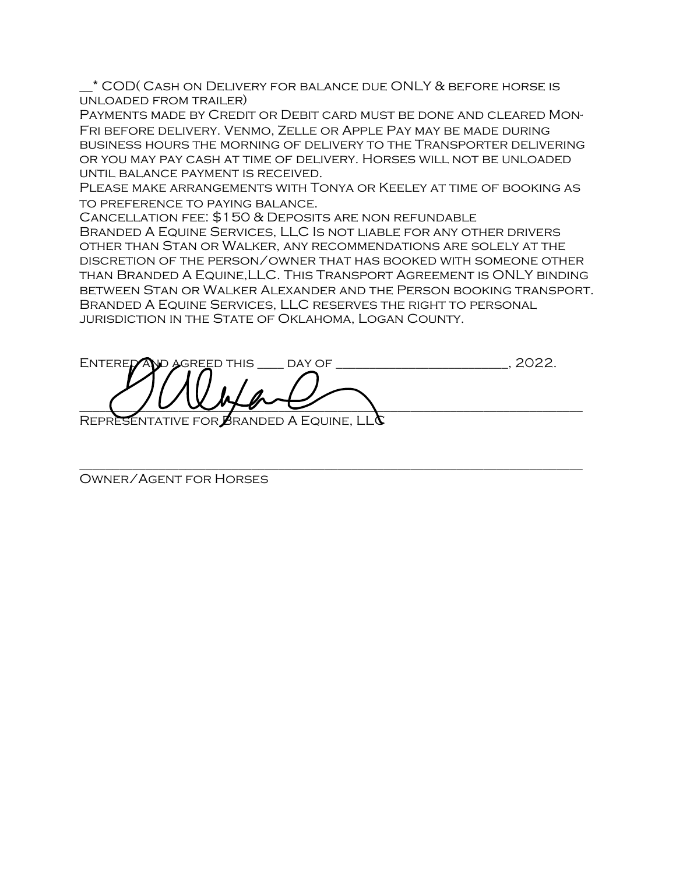\_\_\* COD( Cash on Delivery for balance due ONLY & before horse is unloaded from trailer)

Payments made by Credit or Debit card must be done and cleared Mon-Fri before delivery. Venmo, Zelle or Apple Pay may be made during business hours the morning of delivery to the Transporter delivering or you may pay cash at time of delivery. Horses will not be unloaded until balance payment is received.

Please make arrangements with Tonya or Keeley at time of booking as to preference to paying balance.

Cancellation fee: \$150 & Deposits are non refundable Branded A Equine Services, LLC Is not liable for any other drivers other than Stan or Walker, any recommendations are solely at the discretion of the person/owner that has booked with someone other than Branded A Equine,LLC. This Transport Agreement is ONLY binding between Stan or Walker Alexander and the Person booking transport. Branded A Equine Services, LLC reserves the right to personal jurisdiction in the State of Oklahoma, Logan County.

ENTERED AND AGREED THIS LEAY OF THE LOCAL THIS LOCAL THIS LOCAL THIS LOCAL THIS LOCAL THIS LOCAL THIS LOCAL TH  $\frac{1}{2}$ REPRESENTATIVE FOR BRANDED A EQUINE, LL $\alpha$ 

\_\_\_\_\_\_\_\_\_\_\_\_\_\_\_\_\_\_\_\_\_\_\_\_\_\_\_\_\_\_\_\_\_\_\_\_\_\_\_\_\_\_\_\_\_\_\_\_\_\_\_\_\_\_\_\_\_\_\_\_\_\_\_\_\_\_\_\_\_\_\_\_\_\_\_\_

Owner/Agent for Horses